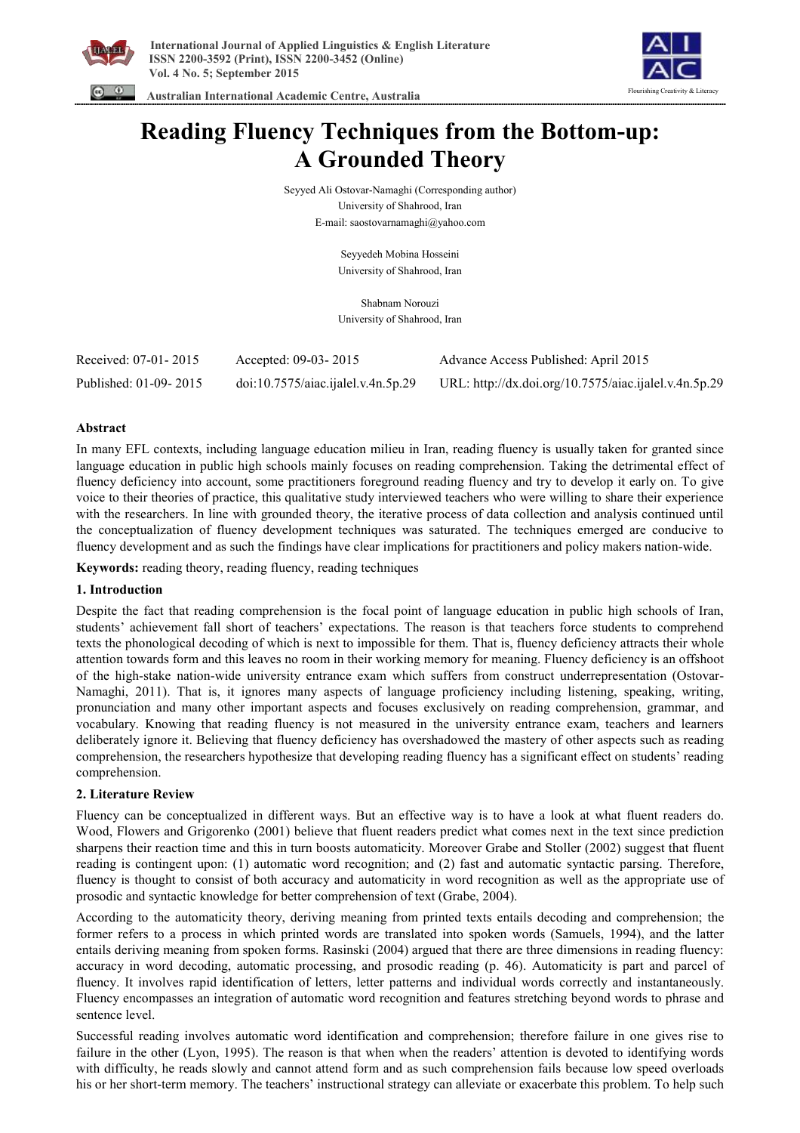



 **Australian International Academic Centre, Australia** 

# **Reading Fluency Techniques from the Bottom-up: A Grounded Theory**

Seyyed Ali Ostovar-Namaghi (Corresponding author) University of Shahrood, Iran E-mail: saostovarnamaghi@yahoo.com

> Seyyedeh Mobina Hosseini University of Shahrood, Iran

> Shabnam Norouzi University of Shahrood, Iran

| Received: 07-01-2015  | Accepted: 09-03-2015               | Advance Access Published: April 2015                  |
|-----------------------|------------------------------------|-------------------------------------------------------|
| Published: 01-09-2015 | doi:10.7575/aiac.ijalel.v.4n.5p.29 | URL: http://dx.doi.org/10.7575/aiac.ijalel.v.4n.5p.29 |

## **Abstract**

In many EFL contexts, including language education milieu in Iran, reading fluency is usually taken for granted since language education in public high schools mainly focuses on reading comprehension. Taking the detrimental effect of fluency deficiency into account, some practitioners foreground reading fluency and try to develop it early on. To give voice to their theories of practice, this qualitative study interviewed teachers who were willing to share their experience with the researchers. In line with grounded theory, the iterative process of data collection and analysis continued until the conceptualization of fluency development techniques was saturated. The techniques emerged are conducive to fluency development and as such the findings have clear implications for practitioners and policy makers nation-wide.

**Keywords:** reading theory, reading fluency, reading techniques

## **1. Introduction**

Despite the fact that reading comprehension is the focal point of language education in public high schools of Iran, students' achievement fall short of teachers' expectations. The reason is that teachers force students to comprehend texts the phonological decoding of which is next to impossible for them. That is, fluency deficiency attracts their whole attention towards form and this leaves no room in their working memory for meaning. Fluency deficiency is an offshoot of the high-stake nation-wide university entrance exam which suffers from construct underrepresentation (Ostovar-Namaghi, 2011). That is, it ignores many aspects of language proficiency including listening, speaking, writing, pronunciation and many other important aspects and focuses exclusively on reading comprehension, grammar, and vocabulary. Knowing that reading fluency is not measured in the university entrance exam, teachers and learners deliberately ignore it. Believing that fluency deficiency has overshadowed the mastery of other aspects such as reading comprehension, the researchers hypothesize that developing reading fluency has a significant effect on students' reading comprehension.

## **2. Literature Review**

Fluency can be conceptualized in different ways. But an effective way is to have a look at what fluent readers do. Wood, Flowers and Grigorenko (2001) believe that fluent readers predict what comes next in the text since prediction sharpens their reaction time and this in turn boosts automaticity. Moreover Grabe and Stoller (2002) suggest that fluent reading is contingent upon: (1) automatic word recognition; and (2) fast and automatic syntactic parsing. Therefore, fluency is thought to consist of both accuracy and automaticity in word recognition as well as the appropriate use of prosodic and syntactic knowledge for better comprehension of text (Grabe, 2004).

According to the automaticity theory, deriving meaning from printed texts entails decoding and comprehension; the former refers to a process in which printed words are translated into spoken words (Samuels, 1994), and the latter entails deriving meaning from spoken forms. Rasinski (2004) argued that there are three dimensions in reading fluency: accuracy in word decoding, automatic processing, and prosodic reading (p. 46). Automaticity is part and parcel of fluency. It involves rapid identification of letters, letter patterns and individual words correctly and instantaneously. Fluency encompasses an integration of automatic word recognition and features stretching beyond words to phrase and sentence level.

Successful reading involves automatic word identification and comprehension; therefore failure in one gives rise to failure in the other (Lyon, 1995). The reason is that when when the readers' attention is devoted to identifying words with difficulty, he reads slowly and cannot attend form and as such comprehension fails because low speed overloads his or her short-term memory. The teachers' instructional strategy can alleviate or exacerbate this problem. To help such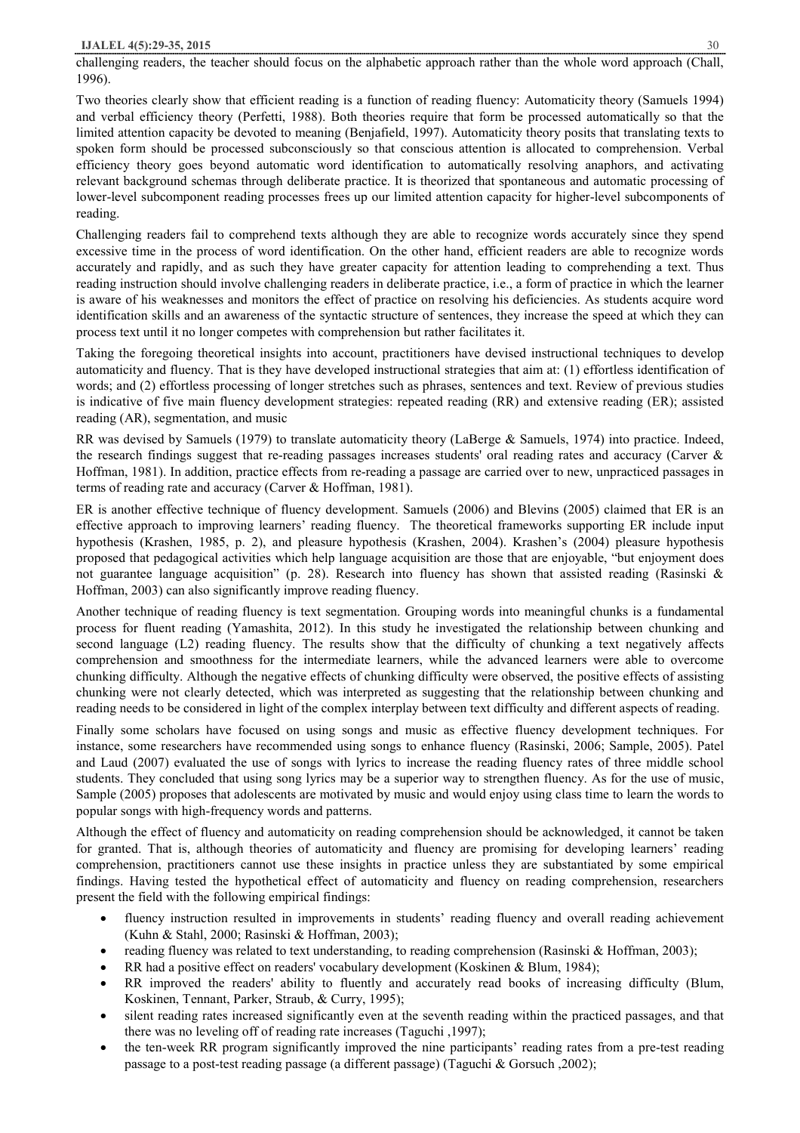challenging readers, the teacher should focus on the alphabetic approach rather than the whole word approach (Chall, 1996).

Two theories clearly show that efficient reading is a function of reading fluency: Automaticity theory (Samuels 1994) and verbal efficiency theory (Perfetti, 1988). Both theories require that form be processed automatically so that the limited attention capacity be devoted to meaning (Benjafield, 1997). Automaticity theory posits that translating texts to spoken form should be processed subconsciously so that conscious attention is allocated to comprehension. Verbal efficiency theory goes beyond automatic word identification to automatically resolving anaphors, and activating relevant background schemas through deliberate practice. It is theorized that spontaneous and automatic processing of lower-level subcomponent reading processes frees up our limited attention capacity for higher-level subcomponents of reading.

Challenging readers fail to comprehend texts although they are able to recognize words accurately since they spend excessive time in the process of word identification. On the other hand, efficient readers are able to recognize words accurately and rapidly, and as such they have greater capacity for attention leading to comprehending a text. Thus reading instruction should involve challenging readers in deliberate practice, i.e., a form of practice in which the learner is aware of his weaknesses and monitors the effect of practice on resolving his deficiencies. As students acquire word identification skills and an awareness of the syntactic structure of sentences, they increase the speed at which they can process text until it no longer competes with comprehension but rather facilitates it.

Taking the foregoing theoretical insights into account, practitioners have devised instructional techniques to develop automaticity and fluency. That is they have developed instructional strategies that aim at: (1) effortless identification of words; and (2) effortless processing of longer stretches such as phrases, sentences and text. Review of previous studies is indicative of five main fluency development strategies: repeated reading (RR) and extensive reading (ER); assisted reading (AR), segmentation, and music

RR was devised by Samuels (1979) to translate automaticity theory (LaBerge & Samuels, 1974) into practice. Indeed, the research findings suggest that re-reading passages increases students' oral reading rates and accuracy (Carver & Hoffman, 1981). In addition, practice effects from re-reading a passage are carried over to new, unpracticed passages in terms of reading rate and accuracy (Carver & Hoffman, 1981).

ER is another effective technique of fluency development. Samuels (2006) and Blevins (2005) claimed that ER is an effective approach to improving learners' reading fluency. The theoretical frameworks supporting ER include input hypothesis (Krashen, 1985, p. 2), and pleasure hypothesis (Krashen, 2004). Krashen's (2004) pleasure hypothesis proposed that pedagogical activities which help language acquisition are those that are enjoyable, "but enjoyment does not guarantee language acquisition" (p. 28). Research into fluency has shown that assisted reading (Rasinski & Hoffman, 2003) can also significantly improve reading fluency.

Another technique of reading fluency is text segmentation. Grouping words into meaningful chunks is a fundamental process for fluent reading (Yamashita, 2012). In this study he investigated the relationship between chunking and second language (L2) reading fluency. The results show that the difficulty of chunking a text negatively affects comprehension and smoothness for the intermediate learners, while the advanced learners were able to overcome chunking difficulty. Although the negative effects of chunking difficulty were observed, the positive effects of assisting chunking were not clearly detected, which was interpreted as suggesting that the relationship between chunking and reading needs to be considered in light of the complex interplay between text difficulty and different aspects of reading.

Finally some scholars have focused on using songs and music as effective fluency development techniques. For instance, some researchers have recommended using songs to enhance fluency (Rasinski, 2006; Sample, 2005). Patel and Laud (2007) evaluated the use of songs with lyrics to increase the reading fluency rates of three middle school students. They concluded that using song lyrics may be a superior way to strengthen fluency. As for the use of music, Sample (2005) proposes that adolescents are motivated by music and would enjoy using class time to learn the words to popular songs with high-frequency words and patterns.

Although the effect of fluency and automaticity on reading comprehension should be acknowledged, it cannot be taken for granted. That is, although theories of automaticity and fluency are promising for developing learners' reading comprehension, practitioners cannot use these insights in practice unless they are substantiated by some empirical findings. Having tested the hypothetical effect of automaticity and fluency on reading comprehension, researchers present the field with the following empirical findings:

- fluency instruction resulted in improvements in students' reading fluency and overall reading achievement (Kuhn & Stahl, 2000; Rasinski & Hoffman, 2003);
- reading fluency was related to text understanding, to reading comprehension (Rasinski & Hoffman, 2003);
- RR had a positive effect on readers' vocabulary development (Koskinen & Blum, 1984);
- · RR improved the readers' ability to fluently and accurately read books of increasing difficulty (Blum, Koskinen, Tennant, Parker, Straub, & Curry, 1995);
- silent reading rates increased significantly even at the seventh reading within the practiced passages, and that there was no leveling off of reading rate increases (Taguchi ,1997);
- · the ten-week RR program significantly improved the nine participants' reading rates from a pre-test reading passage to a post-test reading passage (a different passage) (Taguchi & Gorsuch ,2002);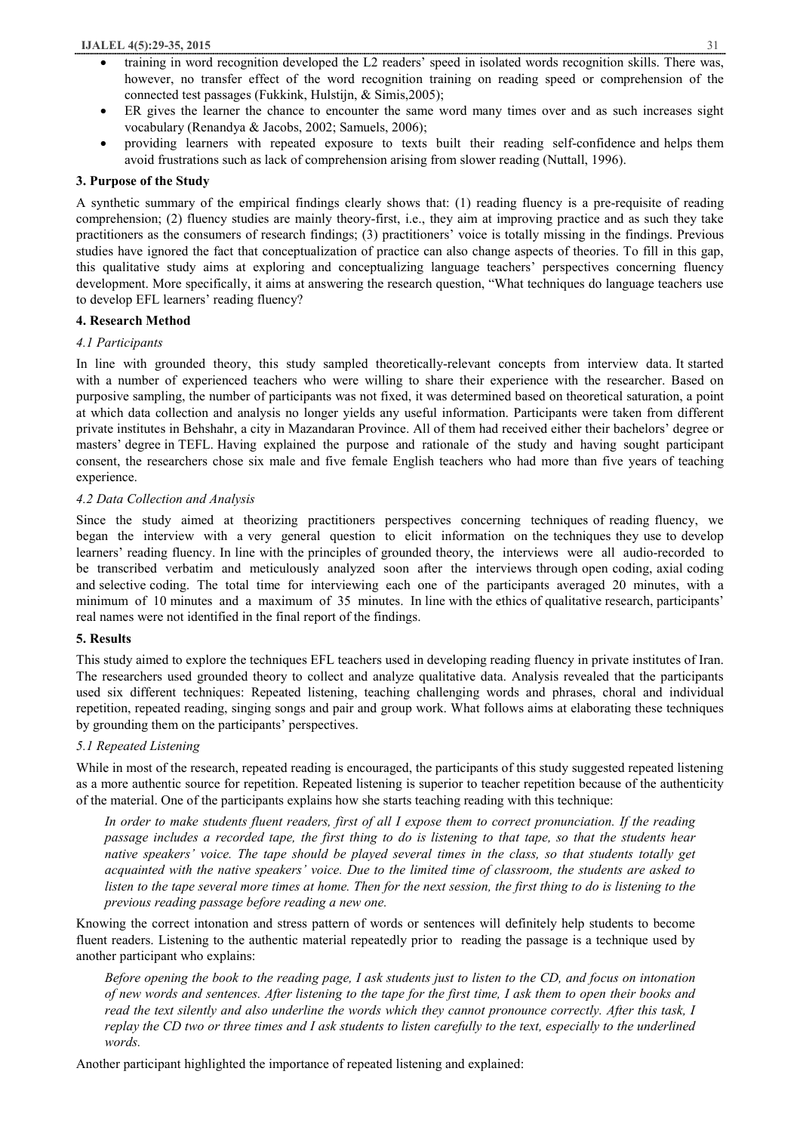- training in word recognition developed the L2 readers' speed in isolated words recognition skills. There was, however, no transfer effect of the word recognition training on reading speed or comprehension of the connected test passages (Fukkink, Hulstijn, & Simis,2005);
- ER gives the learner the chance to encounter the same word many times over and as such increases sight vocabulary (Renandya & Jacobs, 2002; Samuels, 2006);
- · providing learners with repeated exposure to texts built their reading self-confidence and helps them avoid frustrations such as lack of comprehension arising from slower reading (Nuttall, 1996).

## **3. Purpose of the Study**

A synthetic summary of the empirical findings clearly shows that: (1) reading fluency is a pre-requisite of reading comprehension; (2) fluency studies are mainly theory-first, i.e., they aim at improving practice and as such they take practitioners as the consumers of research findings; (3) practitioners' voice is totally missing in the findings. Previous studies have ignored the fact that conceptualization of practice can also change aspects of theories. To fill in this gap, this qualitative study aims at exploring and conceptualizing language teachers' perspectives concerning fluency development. More specifically, it aims at answering the research question, "What techniques do language teachers use to develop EFL learners' reading fluency?

## **4. Research Method**

## *4.1 Participants*

In line with grounded theory, this study sampled theoretically-relevant concepts from interview data. It started with a number of experienced teachers who were willing to share their experience with the researcher. Based on purposive sampling, the number of participants was not fixed, it was determined based on theoretical saturation, a point at which data collection and analysis no longer yields any useful information. Participants were taken from different private institutes in Behshahr, a city in Mazandaran Province. All of them had received either their bachelors' degree or masters' degree in TEFL. Having explained the purpose and rationale of the study and having sought participant consent, the researchers chose six male and five female English teachers who had more than five years of teaching experience.

## *4.2 Data Collection and Analysis*

Since the study aimed at theorizing practitioners perspectives concerning techniques of reading fluency, we began the interview with a very general question to elicit information on the techniques they use to develop learners' reading fluency. In line with the principles of grounded theory, the interviews were all audio-recorded to be transcribed verbatim and meticulously analyzed soon after the interviews through open coding, axial coding and selective coding. The total time for interviewing each one of the participants averaged 20 minutes, with a minimum of 10 minutes and a maximum of 35 minutes. In line with the ethics of qualitative research, participants' real names were not identified in the final report of the findings.

## **5. Results**

This study aimed to explore the techniques EFL teachers used in developing reading fluency in private institutes of Iran. The researchers used grounded theory to collect and analyze qualitative data. Analysis revealed that the participants used six different techniques: Repeated listening, teaching challenging words and phrases, choral and individual repetition, repeated reading, singing songs and pair and group work. What follows aims at elaborating these techniques by grounding them on the participants' perspectives.

## *5.1 Repeated Listening*

While in most of the research, repeated reading is encouraged, the participants of this study suggested repeated listening as a more authentic source for repetition. Repeated listening is superior to teacher repetition because of the authenticity of the material. One of the participants explains how she starts teaching reading with this technique:

In order to make students fluent readers, first of all I expose them to correct pronunciation. If the reading passage includes a recorded tape, the first thing to do is listening to that tape, so that the students hear native speakers' voice. The tape should be played several times in the class, so that students totally get acquainted with the native speakers' voice. Due to the limited time of classroom, the students are asked to listen to the tape several more times at home. Then for the next session, the first thing to do is listening to the *previous reading passage before reading a new one.* 

Knowing the correct intonation and stress pattern of words or sentences will definitely help students to become fluent readers. Listening to the authentic material repeatedly prior to reading the passage is a technique used by another participant who explains:

Before opening the book to the reading page, I ask students just to listen to the CD, and focus on intonation of new words and sentences. After listening to the tape for the first time, I ask them to open their books and read the text silently and also underline the words which they cannot pronounce correctly. After this task, I replay the CD two or three times and I ask students to listen carefully to the text, especially to the underlined *words.* 

Another participant highlighted the importance of repeated listening and explained: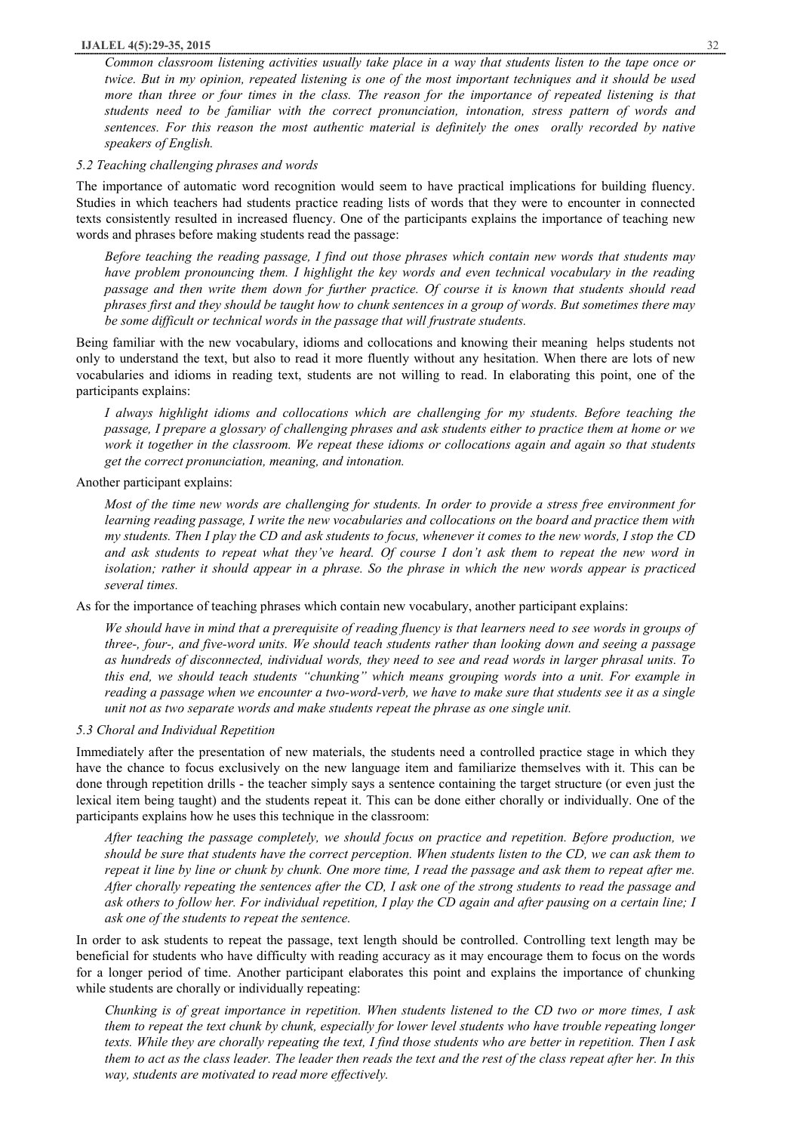#### **IJALEL 4(5):29-35, 2015** 32

Common classroom listening activities usually take place in a way that students listen to the tape once or twice. But in my opinion, repeated listening is one of the most important techniques and it should be used more than three or four times in the class. The reason for the importance of repeated listening is that *students need to be familiar with the correct pronunciation, intonation, stress pattern of words and sentences. For this reason the most authentic material is definitely the ones orally recorded by native speakers of English.* 

#### *5.2 Teaching challenging phrases and words*

The importance of automatic word recognition would seem to have practical implications for building fluency. Studies in which teachers had students practice reading lists of words that they were to encounter in connected texts consistently resulted in increased fluency. One of the participants explains the importance of teaching new words and phrases before making students read the passage:

*Before teaching the reading passage, I find out those phrases which contain new words that students may have problem pronouncing them. I highlight the key words and even technical vocabulary in the reading*  passage and then write them down for further practice. Of course it is known that students should read phrases first and they should be taught how to chunk sentences in a group of words. But sometimes there may *be some difficult or technical words in the passage that will frustrate students.* 

Being familiar with the new vocabulary, idioms and collocations and knowing their meaning helps students not only to understand the text, but also to read it more fluently without any hesitation. When there are lots of new vocabularies and idioms in reading text, students are not willing to read. In elaborating this point, one of the participants explains:

*I always highlight idioms and collocations which are challenging for my students. Before teaching the*  passage, I prepare a glossary of challenging phrases and ask students either to practice them at home or we work it together in the classroom. We repeat these idioms or collocations again and again so that students *get the correct pronunciation, meaning, and intonation.* 

#### Another participant explains:

Most of the time new words are challenging for students. In order to provide a stress free environment for *learning reading passage, I write the new vocabularies and collocations on the board and practice them with*  my students. Then I play the CD and ask students to focus, whenever it comes to the new words, I stop the CD and ask students to repeat what they've heard. Of course I don't ask them to repeat the new word in isolation; rather it should appear in a phrase. So the phrase in which the new words appear is practiced *several times.* 

As for the importance of teaching phrases which contain new vocabulary, another participant explains:

We should have in mind that a prerequisite of reading fluency is that learners need to see words in groups of three-, four-, and five-word units. We should teach students rather than looking down and seeing a passage as hundreds of disconnected, individual words, they need to see and read words in larger phrasal units. To *this end, we should teach students "chunking" which means grouping words into a unit. For example in reading a passage when we encounter a two-word-verb, we have to make sure that students see it as a single unit not as two separate words and make students repeat the phrase as one single unit.* 

#### *5.3 Choral and Individual Repetition*

Immediately after the presentation of new materials, the students need a controlled practice stage in which they have the chance to focus exclusively on the new language item and familiarize themselves with it. This can be done through repetition drills - the teacher simply says a sentence containing the target structure (or even just the lexical item being taught) and the students repeat it. This can be done either chorally or individually. One of the participants explains how he uses this technique in the classroom:

*After teaching the passage completely, we should focus on practice and repetition. Before production, we*  should be sure that students have the correct perception. When students listen to the CD, we can ask them to repeat it line by line or chunk by chunk. One more time, I read the passage and ask them to repeat after me. After chorally repeating the sentences after the CD, I ask one of the strong students to read the passage and ask others to follow her. For individual repetition, I play the CD again and after pausing on a certain line; I *ask one of the students to repeat the sentence.* 

In order to ask students to repeat the passage, text length should be controlled. Controlling text length may be beneficial for students who have difficulty with reading accuracy as it may encourage them to focus on the words for a longer period of time. Another participant elaborates this point and explains the importance of chunking while students are chorally or individually repeating:

Chunking is of great importance in repetition. When students listened to the CD two or more times, I ask them to repeat the text chunk by chunk, especially for lower level students who have trouble repeating longer texts. While they are chorally repeating the text, I find those students who are better in repetition. Then I ask them to act as the class leader. The leader then reads the text and the rest of the class repeat after her. In this *way, students are motivated to read more effectively.*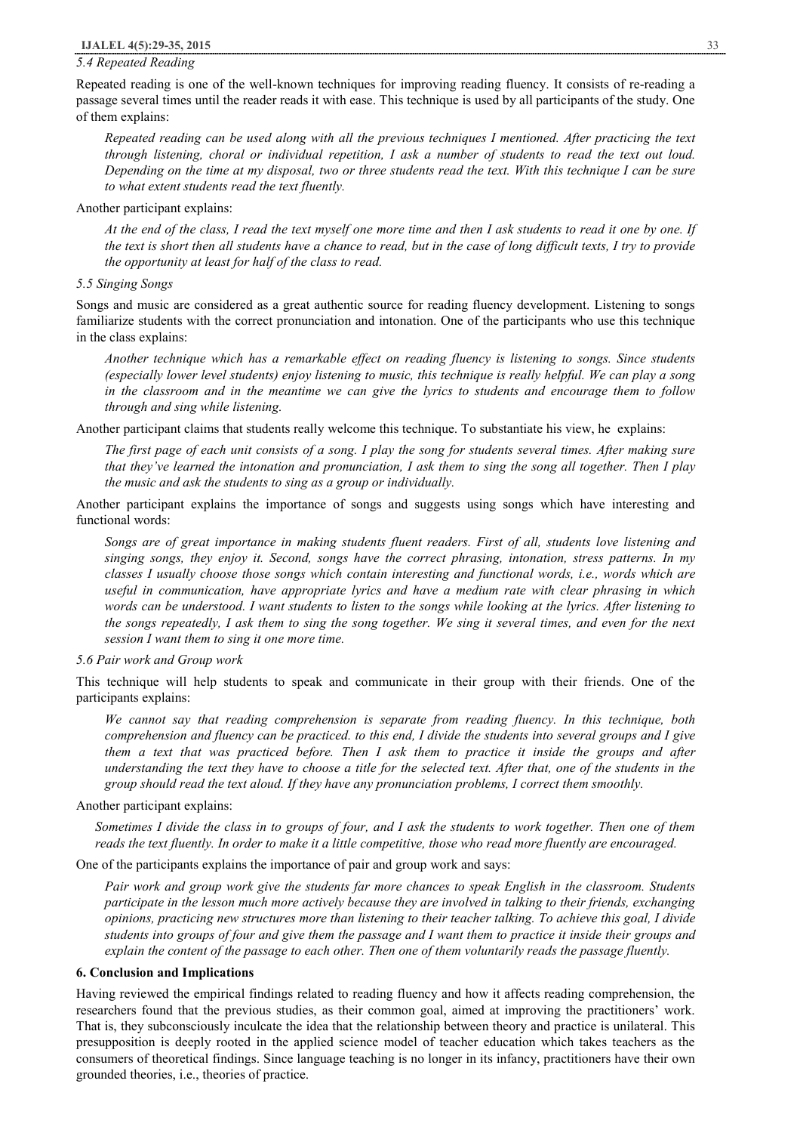### *5.4 Repeated Reading*

Repeated reading is one of the well-known techniques for improving reading fluency. It consists of re-reading a passage several times until the reader reads it with ease. This technique is used by all participants of the study. One of them explains:

Repeated reading can be used along with all the previous techniques I mentioned. After practicing the text through listening, choral or individual repetition, I ask a number of students to read the text out loud. Depending on the time at my disposal, two or three students read the text. With this technique I can be sure *to what extent students read the text fluently.* 

#### Another participant explains:

At the end of the class, I read the text myself one more time and then I ask students to read it one by one. If the text is short then all students have a chance to read, but in the case of long difficult texts, I try to provide *the opportunity at least for half of the class to read.* 

#### *5.5 Singing Songs*

Songs and music are considered as a great authentic source for reading fluency development. Listening to songs familiarize students with the correct pronunciation and intonation. One of the participants who use this technique in the class explains:

*Another technique which has a remarkable effect on reading fluency is listening to songs. Since students*  (especially lower level students) enjoy listening to music, this technique is really helpful. We can play a song in the classroom and in the meantime we can give the lyrics to students and encourage them to follow *through and sing while listening.* 

Another participant claims that students really welcome this technique. To substantiate his view, he explains:

The first page of each unit consists of a song. I play the song for students several times. After making sure that they've learned the intonation and pronunciation, I ask them to sing the song all together. Then I play *the music and ask the students to sing as a group or individually.* 

Another participant explains the importance of songs and suggests using songs which have interesting and functional words:

Songs are of great importance in making students fluent readers. First of all, students love listening and *singing songs, they enjoy it. Second, songs have the correct phrasing, intonation, stress patterns. In my classes I usually choose those songs which contain interesting and functional words, i.e., words which are useful in communication, have appropriate lyrics and have a medium rate with clear phrasing in which*  words can be understood. I want students to listen to the songs while looking at the lyrics. After listening to the songs repeatedly, I ask them to sing the song together. We sing it several times, and even for the next *session I want them to sing it one more time.* 

*5.6 Pair work and Group work* 

This technique will help students to speak and communicate in their group with their friends. One of the participants explains:

*We cannot say that reading comprehension is separate from reading fluency. In this technique, both*  comprehension and fluency can be practiced, to this end, I divide the students into several groups and I give them a text that was practiced before. Then I ask them to practice it inside the groups and after understanding the text they have to choose a title for the selected text. After that, one of the students in the *group should read the text aloud. If they have any pronunciation problems, I correct them smoothly.* 

#### Another participant explains:

Sometimes I divide the class in to groups of four, and I ask the students to work together. Then one of them reads the text fluently. In order to make it a little competitive, those who read more fluently are encouraged.

One of the participants explains the importance of pair and group work and says:

Pair work and group work give the students far more chances to speak English in the classroom. Students participate in the lesson much more actively because they are involved in talking to their friends, exchanging *opinions, practicing new structures more than listening to their teacher talking. To achieve this goal, I divide*  students into groups of four and give them the passage and I want them to practice it inside their groups and explain the content of the passage to each other. Then one of them voluntarily reads the passage fluently.

#### **6. Conclusion and Implications**

Having reviewed the empirical findings related to reading fluency and how it affects reading comprehension, the researchers found that the previous studies, as their common goal, aimed at improving the practitioners' work. That is, they subconsciously inculcate the idea that the relationship between theory and practice is unilateral. This presupposition is deeply rooted in the applied science model of teacher education which takes teachers as the consumers of theoretical findings. Since language teaching is no longer in its infancy, practitioners have their own grounded theories, i.e., theories of practice.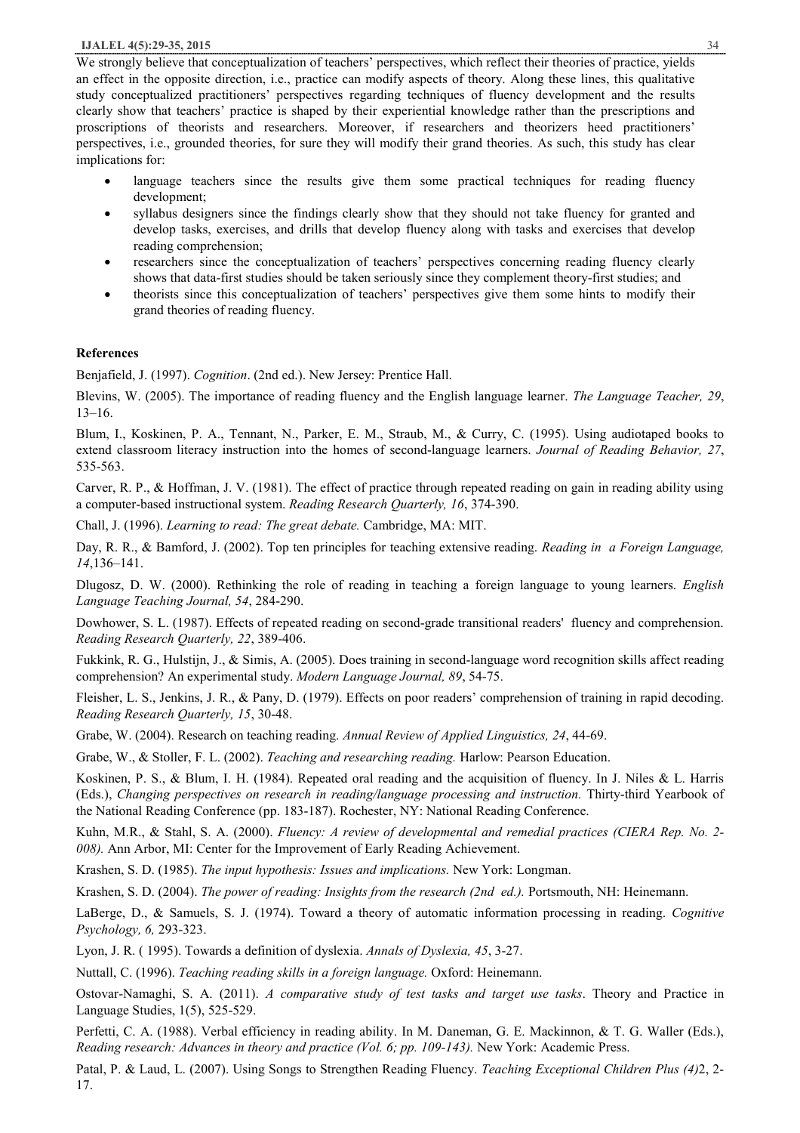#### **IJALEL 4(5):29-35, 2015** 34

We strongly believe that conceptualization of teachers' perspectives, which reflect their theories of practice, yields an effect in the opposite direction, i.e., practice can modify aspects of theory. Along these lines, this qualitative study conceptualized practitioners' perspectives regarding techniques of fluency development and the results clearly show that teachers' practice is shaped by their experiential knowledge rather than the prescriptions and proscriptions of theorists and researchers. Moreover, if researchers and theorizers heed practitioners' perspectives, i.e., grounded theories, for sure they will modify their grand theories. As such, this study has clear implications for:

- language teachers since the results give them some practical techniques for reading fluency development;
- syllabus designers since the findings clearly show that they should not take fluency for granted and develop tasks, exercises, and drills that develop fluency along with tasks and exercises that develop reading comprehension;
- researchers since the conceptualization of teachers' perspectives concerning reading fluency clearly shows that data-first studies should be taken seriously since they complement theory-first studies; and
- · theorists since this conceptualization of teachers' perspectives give them some hints to modify their grand theories of reading fluency.

## **References**

Benjafield, J. (1997). *Cognition*. (2nd ed.). New Jersey: Prentice Hall.

Blevins, W. (2005). The importance of reading fluency and the English language learner. *The Language Teacher, 29*, 13–16.

Blum, I., Koskinen, P. A., Tennant, N., Parker, E. M., Straub, M., & Curry, C. (1995). Using audiotaped books to extend classroom literacy instruction into the homes of second-language learners. *Journal of Reading Behavior, 27*, 535-563.

Carver, R. P., & Hoffman, J. V. (1981). The effect of practice through repeated reading on gain in reading ability using a computer-based instructional system. *Reading Research Quarterly, 16*, 374-390.

Chall, J. (1996). *Learning to read: The great debate.* Cambridge, MA: MIT.

Day, R. R., & Bamford, J. (2002). Top ten principles for teaching extensive reading. *Reading in a Foreign Language, 14*,136–141.

Dlugosz, D. W. (2000). Rethinking the role of reading in teaching a foreign language to young learners. *English Language Teaching Journal, 54*, 284-290.

Dowhower, S. L. (1987). Effects of repeated reading on second-grade transitional readers' fluency and comprehension. *Reading Research Quarterly, 22*, 389-406.

Fukkink, R. G., Hulstijn, J., & Simis, A. (2005). Does training in second-language word recognition skills affect reading comprehension? An experimental study. *Modern Language Journal, 89*, 54-75.

Fleisher, L. S., Jenkins, J. R., & Pany, D. (1979). Effects on poor readers' comprehension of training in rapid decoding. *Reading Research Quarterly, 15*, 30-48.

Grabe, W. (2004). Research on teaching reading. *Annual Review of Applied Linguistics, 24*, 44-69.

Grabe, W., & Stoller, F. L. (2002). *Teaching and researching reading.* Harlow: Pearson Education.

Koskinen, P. S., & Blum, I. H. (1984). Repeated oral reading and the acquisition of fluency. In J. Niles & L. Harris (Eds.), *Changing perspectives on research in reading/language processing and instruction.* Thirty-third Yearbook of the National Reading Conference (pp. 183-187). Rochester, NY: National Reading Conference.

Kuhn, M.R., & Stahl, S. A. (2000). *Fluency: A review of developmental and remedial practices (CIERA Rep. No. 2- 008).* Ann Arbor, MI: Center for the Improvement of Early Reading Achievement.

Krashen, S. D. (1985). *The input hypothesis: Issues and implications.* New York: Longman.

Krashen, S. D. (2004). *The power of reading: Insights from the research (2nd ed.).* Portsmouth, NH: Heinemann.

LaBerge, D., & Samuels, S. J. (1974). Toward a theory of automatic information processing in reading. *Cognitive Psychology, 6,* 293-323.

Lyon, J. R. ( 1995). Towards a definition of dyslexia. *Annals of Dyslexia, 45*, 3-27.

Nuttall, C. (1996). *Teaching reading skills in a foreign language.* Oxford: Heinemann.

Ostovar-Namaghi, S. A. (2011). *A comparative study of test tasks and target use tasks*. Theory and Practice in Language Studies, 1(5), 525-529.

Perfetti, C. A. (1988). Verbal efficiency in reading ability. In M. Daneman, G. E. Mackinnon, & T. G. Waller (Eds.), *Reading research: Advances in theory and practice (Vol. 6; pp. 109-143).* New York: Academic Press.

Patal, P. & Laud, L. (2007). Using Songs to Strengthen Reading Fluency. *Teaching Exceptional Children Plus (4)*2, 2- 17.